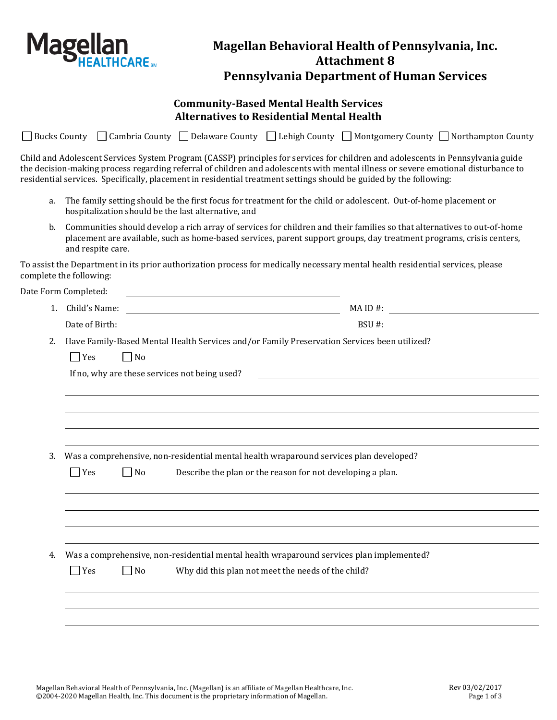

## **Magellan Behavioral Health of Pennsylvania, Inc. Attachment 8 Pennsylvania Department of Human Services**

## **Community-Based Mental Health Services Alternatives to Residential Mental Health**

|  |  | □ Bucks County □ Cambria County □ Delaware County □ Lehigh County □ Montgomery County □ Northampton County                                                                                                                                                                                                                                                                                 |  |
|--|--|--------------------------------------------------------------------------------------------------------------------------------------------------------------------------------------------------------------------------------------------------------------------------------------------------------------------------------------------------------------------------------------------|--|
|  |  | Child and Adolescent Services System Program (CASSP) principles for services for children and adolescents in Pennsylvania guide<br>the decision-making process regarding referral of children and adolescents with mental illness or severe emotional disturbance to<br>residential services. Specifically, placement in residential treatment settings should be guided by the following: |  |

- a. The family setting should be the first focus for treatment for the child or adolescent. Out-of-home placement or hospitalization should be the last alternative, and
- b. Communities should develop a rich array of services for children and their families so that alternatives to out-of-home placement are available, such as home-based services, parent support groups, day treatment programs, crisis centers, and respite care.

To assist the Department in its prior authorization process for medically necessary mental health residential services, please complete the following:

Date Form Completed:

| . . | Child's<br>Name: | $MAID#$ : |  |
|-----|------------------|-----------|--|
|     | Date of Birth:   | BSU#:     |  |

2. Have Family-Based Mental Health Services and/or Family Preservation Services been utilized?

 $\Box$  Yes  $\Box$  No

If no, why are these services not being used?

3. Was a comprehensive, non-residential mental health wraparound services plan developed?

|    | $\Box$ Yes | $\Box$ No | Describe the plan or the reason for not developing a plan.                                                                                     |  |
|----|------------|-----------|------------------------------------------------------------------------------------------------------------------------------------------------|--|
|    |            |           |                                                                                                                                                |  |
|    |            |           |                                                                                                                                                |  |
| 4. | $\Box$ Yes | $\Box$ No | Was a comprehensive, non-residential mental health wraparound services plan implemented?<br>Why did this plan not meet the needs of the child? |  |
|    |            |           |                                                                                                                                                |  |
|    |            |           |                                                                                                                                                |  |
|    |            |           |                                                                                                                                                |  |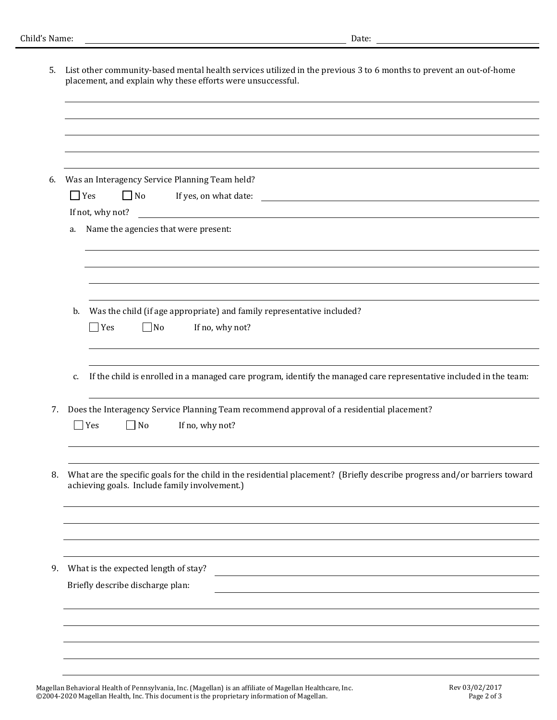| 5. | List other community-based mental health services utilized in the previous 3 to 6 months to prevent an out-of-home<br>placement, and explain why these efforts were unsuccessful. |
|----|-----------------------------------------------------------------------------------------------------------------------------------------------------------------------------------|
|    |                                                                                                                                                                                   |
|    |                                                                                                                                                                                   |
|    |                                                                                                                                                                                   |
|    |                                                                                                                                                                                   |
| 6. | Was an Interagency Service Planning Team held?                                                                                                                                    |
|    | $\Box$ Yes<br>$\Box$ No<br>If yes, on what date:<br><u> 1989 - Johann Harry Harry Harry Harry Harry Harry Harry Harry Harry Harry Harry Harry Harry Harry Harry Harry</u>         |
|    | If not, why not?                                                                                                                                                                  |
|    | Name the agencies that were present:<br>a.                                                                                                                                        |
|    |                                                                                                                                                                                   |
|    |                                                                                                                                                                                   |
|    |                                                                                                                                                                                   |
|    | Was the child (if age appropriate) and family representative included?<br>b.                                                                                                      |
|    | Yes<br>$\Box$ No<br>If no, why not?                                                                                                                                               |
|    |                                                                                                                                                                                   |
|    | If the child is enrolled in a managed care program, identify the managed care representative included in the team:<br>c.                                                          |
| 7. | Does the Interagency Service Planning Team recommend approval of a residential placement?                                                                                         |
|    | $\Box$ Yes<br>$\Box$ No<br>If no, why not?                                                                                                                                        |
|    |                                                                                                                                                                                   |
| 8. | What are the specific goals for the child in the residential placement? (Briefly describe progress and/or barriers toward<br>achieving goals. Include family involvement.)        |
|    |                                                                                                                                                                                   |
|    |                                                                                                                                                                                   |
|    |                                                                                                                                                                                   |
| 9. | What is the expected length of stay?                                                                                                                                              |
|    | Briefly describe discharge plan:                                                                                                                                                  |
|    |                                                                                                                                                                                   |
|    |                                                                                                                                                                                   |
|    |                                                                                                                                                                                   |
|    |                                                                                                                                                                                   |